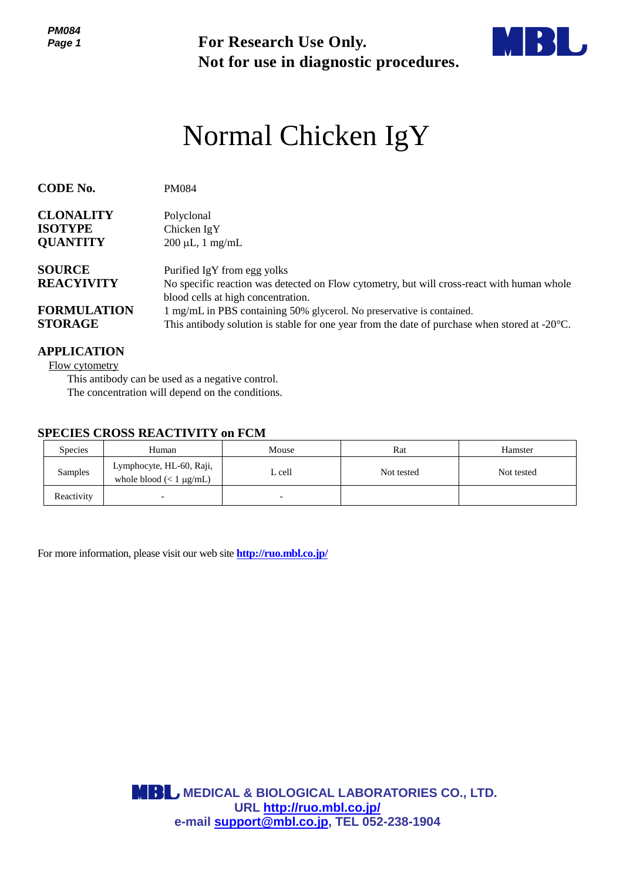*PM084 Page 1*



# Normal Chicken IgY

| Page 1                                                |       | <b>For Research Use Only.</b><br>Not for use in diagnostic procedures.                                                                                                           |                                                                              |                                                                                                          |            |  |  |
|-------------------------------------------------------|-------|----------------------------------------------------------------------------------------------------------------------------------------------------------------------------------|------------------------------------------------------------------------------|----------------------------------------------------------------------------------------------------------|------------|--|--|
|                                                       |       |                                                                                                                                                                                  |                                                                              | Normal Chicken IgY                                                                                       |            |  |  |
| <b>CODE No.</b>                                       |       | PM084                                                                                                                                                                            |                                                                              |                                                                                                          |            |  |  |
| <b>CLONALITY</b><br><b>ISOTYPE</b><br><b>QUANTITY</b> |       | Polyclonal<br>Chicken IgY<br>$200 \mu L$ , 1 mg/mL                                                                                                                               |                                                                              |                                                                                                          |            |  |  |
| <b>SOURCE</b><br><b>REACYIVITY</b>                    |       | Purified IgY from egg yolks<br>No specific reaction was detected on Flow cytometry, but will cross-react with human whole<br>blood cells at high concentration.                  |                                                                              |                                                                                                          |            |  |  |
| <b>FORMULATION</b><br><b>STORAGE</b>                  |       | 1 mg/mL in PBS containing 50% glycerol. No preservative is contained.<br>This antibody solution is stable for one year from the date of purchase when stored at $-20^{\circ}$ C. |                                                                              |                                                                                                          |            |  |  |
| <b>APPLICATION</b><br>Flow cytometry                  |       | This antibody can be used as a negative control.<br>The concentration will depend on the conditions.<br><b>SPECIES CROSS REACTIVITY on FCM</b>                                   |                                                                              |                                                                                                          |            |  |  |
| <b>Species</b>                                        | Human |                                                                                                                                                                                  | Mouse                                                                        | Rat                                                                                                      | Hamster    |  |  |
| Lymphocyte, HL-60, Raji,<br>Samples                   |       | whole blood $(< 1 \mu g/mL)$                                                                                                                                                     | L cell                                                                       | Not tested                                                                                               | Not tested |  |  |
| Reactivity                                            |       |                                                                                                                                                                                  |                                                                              |                                                                                                          |            |  |  |
|                                                       |       |                                                                                                                                                                                  | For more information, please visit our web site <b>http://ruo.mbl.co.jp/</b> |                                                                                                          |            |  |  |
|                                                       |       |                                                                                                                                                                                  |                                                                              |                                                                                                          |            |  |  |
|                                                       |       |                                                                                                                                                                                  |                                                                              |                                                                                                          |            |  |  |
|                                                       |       |                                                                                                                                                                                  |                                                                              |                                                                                                          |            |  |  |
|                                                       |       |                                                                                                                                                                                  | URL http://ruo.mbl.co.jp/                                                    | <b>MBL MEDICAL &amp; BIOLOGICAL LABORATORIES CO., LTD.</b><br>e-mail support@mbl.co.jp, TEL 052-238-1904 |            |  |  |

#### **APPLICATION**

#### **SPECIES CROSS REACTIVITY on FCM**

| <b>Species</b> | Human                                                    | Mouse                    | Rat        | Hamster    |
|----------------|----------------------------------------------------------|--------------------------|------------|------------|
| Samples        | Lymphocyte, HL-60, Raji,<br>whole blood $(< 1 \mu g/mL)$ | L cell                   | Not tested | Not tested |
| Reactivity     |                                                          | $\overline{\phantom{0}}$ |            |            |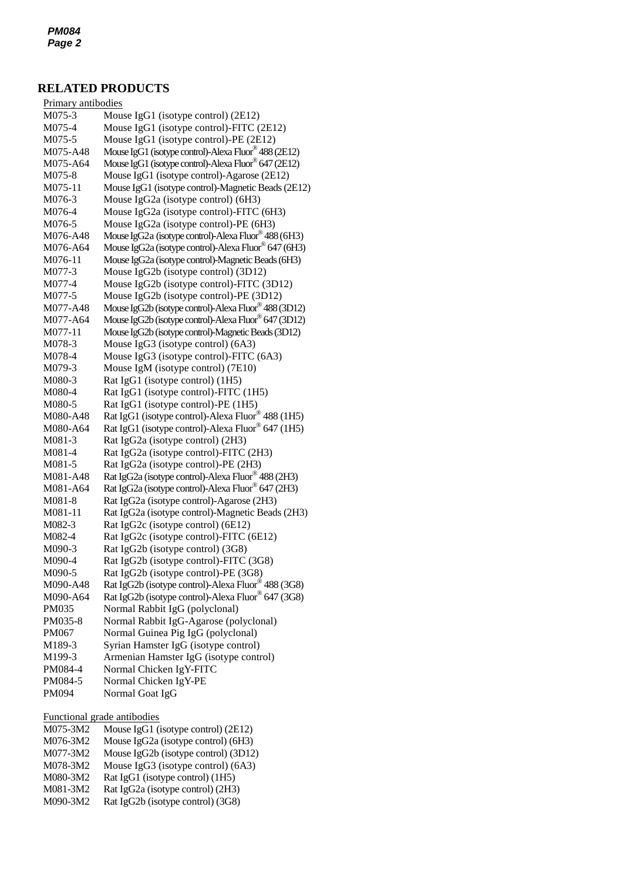#### **RELATED PRODUCTS**

| Primary antibodies |                                                       |
|--------------------|-------------------------------------------------------|
| M075-3             | Mouse IgG1 (isotype control) (2E12)                   |
| M075-4             | Mouse IgG1 (isotype control)-FITC (2E12)              |
| M075-5             | Mouse IgG1 (isotype control)-PE (2E12)                |
| M075-A48           | Mouse IgG1 (isotype control)-Alexa Fluor® 488 (2E12)  |
| M075-A64           | Mouse IgG1 (isotype control)-Alexa Fluor® 647 (2E12)  |
| M075-8             | Mouse IgG1 (isotype control)-Agarose (2E12)           |
| M075-11            | Mouse IgG1 (isotype control)-Magnetic Beads (2E12)    |
| M076-3             | Mouse IgG2a (isotype control) (6H3)                   |
| M076-4             | Mouse IgG2a (isotype control)-FITC (6H3)              |
| M076-5             | Mouse IgG2a (isotype control)-PE (6H3)                |
| M076-A48           | Mouse IgG2a (isotype control)-Alexa Fluor® 488 (6H3)  |
| M076-A64           | Mouse IgG2a (isotype control)-Alexa Fluor® 647 (6H3)  |
| M076-11            | Mouse IgG2a (isotype control)-Magnetic Beads (6H3)    |
| M077-3             | Mouse IgG2b (isotype control) (3D12)                  |
| M077-4             | Mouse IgG2b (isotype control)-FITC (3D12)             |
| M077-5             | Mouse IgG2b (isotype control)-PE (3D12)               |
| M077-A48           | Mouse IgG2b (isotype control)-Alexa Fluor® 488 (3D12) |
| M077-A64           | Mouse IgG2b (isotype control)-Alexa Fluor® 647 (3D12) |
| M077-11            | Mouse IgG2b (isotype control)-Magnetic Beads (3D12)   |
| M078-3             | Mouse IgG3 (isotype control) (6A3)                    |
| M078-4             | Mouse IgG3 (isotype control)-FITC (6A3)               |
| M079-3             | Mouse IgM (isotype control) (7E10)                    |
| M080-3             | Rat IgG1 (isotype control) (1H5)                      |
| M080-4             | Rat IgG1 (isotype control)-FITC (1H5)                 |
| M080-5             | Rat IgG1 (isotype control)-PE (1H5)                   |
| M080-A48           | Rat IgG1 (isotype control)-Alexa Fluor® 488 (1H5)     |
| M080-A64           | Rat IgG1 (isotype control)-Alexa Fluor® 647 (1H5)     |
| M081-3             | Rat IgG2a (isotype control) (2H3)                     |
| $M081-4$           | Rat IgG2a (isotype control)-FITC (2H3)                |
| M081-5             | Rat IgG2a (isotype control)-PE (2H3)                  |
| M081-A48           | Rat IgG2a (isotype control)-Alexa Fluor® 488 (2H3)    |
| M081-A64           | Rat IgG2a (isotype control)-Alexa Fluor® 647 (2H3)    |
| M081-8             | Rat IgG2a (isotype control)-Agarose (2H3)             |
| M081-11            | Rat IgG2a (isotype control)-Magnetic Beads (2H3)      |
| M082-3             | Rat IgG2c (isotype control) (6E12)                    |
| M082-4             | Rat IgG2c (isotype control)-FITC (6E12)               |
| M090-3             | Rat IgG2b (isotype control) (3G8)                     |
| M090-4             | Rat IgG2b (isotype control)-FITC (3G8)                |
| M090-5             | Rat IgG2b (isotype control)-PE (3G8)                  |
| M090-A48           | Rat IgG2b (isotype control)-Alexa Fluor® 488 (3G8)    |
| M090-A64           | Rat IgG2b (isotype control)-Alexa Fluor® 647 (3G8)    |
| PM035              | Normal Rabbit IgG (polyclonal)                        |
| PM035-8            | Normal Rabbit IgG-Agarose (polyclonal)                |
| PM067              | Normal Guinea Pig IgG (polyclonal)                    |
| M189-3             | Syrian Hamster IgG (isotype control)                  |
| M199-3             | Armenian Hamster IgG (isotype control)                |
| PM084-4            | Normal Chicken IgY-FITC                               |
| PM084-5            | Normal Chicken IgY-PE                                 |
| PM094              | Normal Goat IgG                                       |
|                    |                                                       |

Functional grade antibodies

M075-3M2 Mouse IgG1 (isotype control) (2E12) M076-3M2 Mouse IgG2a (isotype control) (6H3) M077-3M2 Mouse IgG2b (isotype control) (3D12)<br>M078-3M2 Mouse IgG3 (isotype control) (6A3) Mouse IgG3 (isotype control)  $(6A3)$ M080-3M2 Rat IgG1 (isotype control) (1H5) M081-3M2 Rat IgG2a (isotype control) (2H3) M090-3M2 Rat IgG2b (isotype control) (3G8)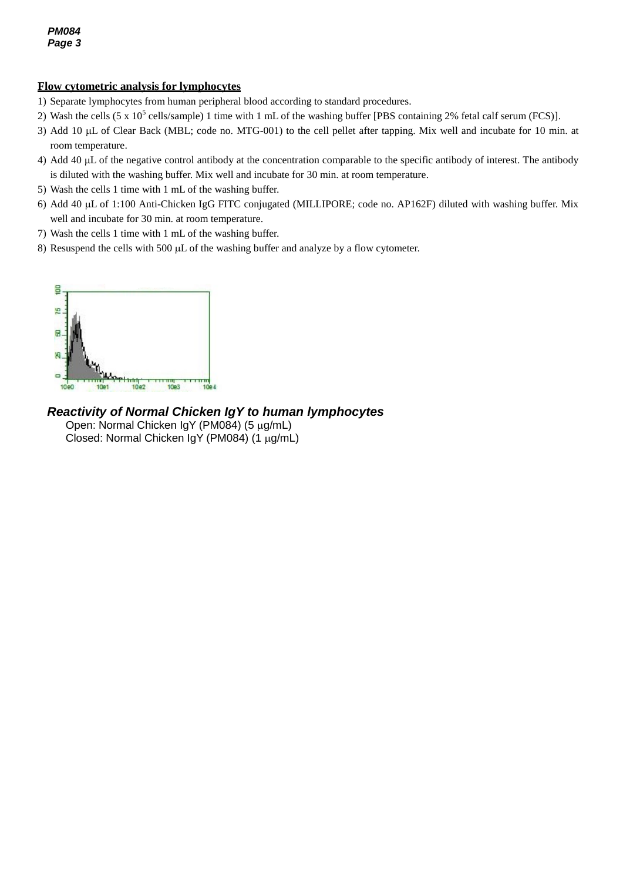#### *g e* **Flow cytometric analysis for lymphocytes**

- 1) Separate lymphocytes from human peripheral blood according to standard procedures.
- 2) Wash the cells (5 x  $10^5$  cells/sample) 1 time with 1 mL of the washing buffer [PBS containing 2% fetal calf serum (FCS)].
- 3) Add 10 µL of Clear Back (MBL; code no. MTG-001) to the cell pellet after tapping. Mix well and incubate for 10 min. at room temperature.
- 4) Add 40 µL of the negative control antibody at the concentration comparable to the specific antibody of interest. The antibody is diluted with the washing buffer. Mix well and incubate for 30 min. at room temperature.
- 5) Wash the cells 1 time with 1 mL of the washing buffer.
- 6) Add 40 µL of 1:100 Anti-Chicken IgG FITC conjugated (MILLIPORE; code no. AP162F) diluted with washing buffer. Mix well and incubate for 30 min. at room temperature.
- 7) Wash the cells 1 time with 1 mL of the washing buffer.
- 8) Resuspend the cells with 500  $\mu$ L of the washing buffer and analyze by a flow cytometer.



### *Reactivity of Normal Chicken IgY to human lymphocytes*

Open: Normal Chicken IgY (PM084) (5 μg/mL) Closed: Normal Chicken IgY (PM084) (1 μg/mL)